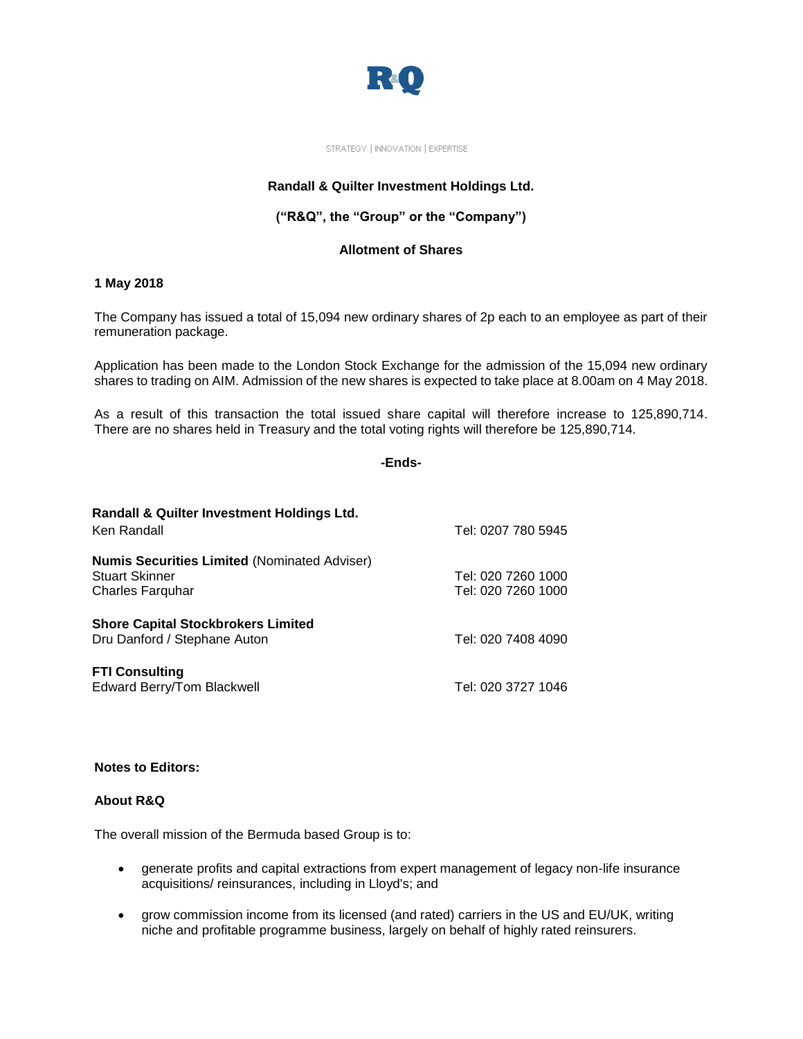

#### STRATEGY | INNOVATION | EXPERTISE

# **Randall & Quilter Investment Holdings Ltd.**

# **("R&Q", the "Group" or the "Company")**

### **Allotment of Shares**

### **1 May 2018**

The Company has issued a total of 15,094 new ordinary shares of 2p each to an employee as part of their remuneration package.

Application has been made to the London Stock Exchange for the admission of the 15,094 new ordinary shares to trading on AIM. Admission of the new shares is expected to take place at 8.00am on 4 May 2018.

As a result of this transaction the total issued share capital will therefore increase to 125,890,714. There are no shares held in Treasury and the total voting rights will therefore be 125,890,714.

# **-Ends-**

| Randall & Quilter Investment Holdings Ltd.<br>Ken Randall | Tel: 0207 780 5945 |
|-----------------------------------------------------------|--------------------|
|                                                           |                    |
| <b>Numis Securities Limited (Nominated Adviser)</b>       |                    |
| <b>Stuart Skinner</b>                                     | Tel: 020 7260 1000 |
| <b>Charles Farguhar</b>                                   | Tel: 020 7260 1000 |
| <b>Shore Capital Stockbrokers Limited</b>                 |                    |
| Dru Danford / Stephane Auton                              | Tel: 020 7408 4090 |
| <b>FTI Consulting</b>                                     |                    |
| Edward Berry/Tom Blackwell                                | Tel: 020 3727 1046 |

# **Notes to Editors:**

# **About R&Q**

The overall mission of the Bermuda based Group is to:

- generate profits and capital extractions from expert management of legacy non-life insurance acquisitions/ reinsurances, including in Lloyd's; and
- grow commission income from its licensed (and rated) carriers in the US and EU/UK, writing niche and profitable programme business, largely on behalf of highly rated reinsurers.